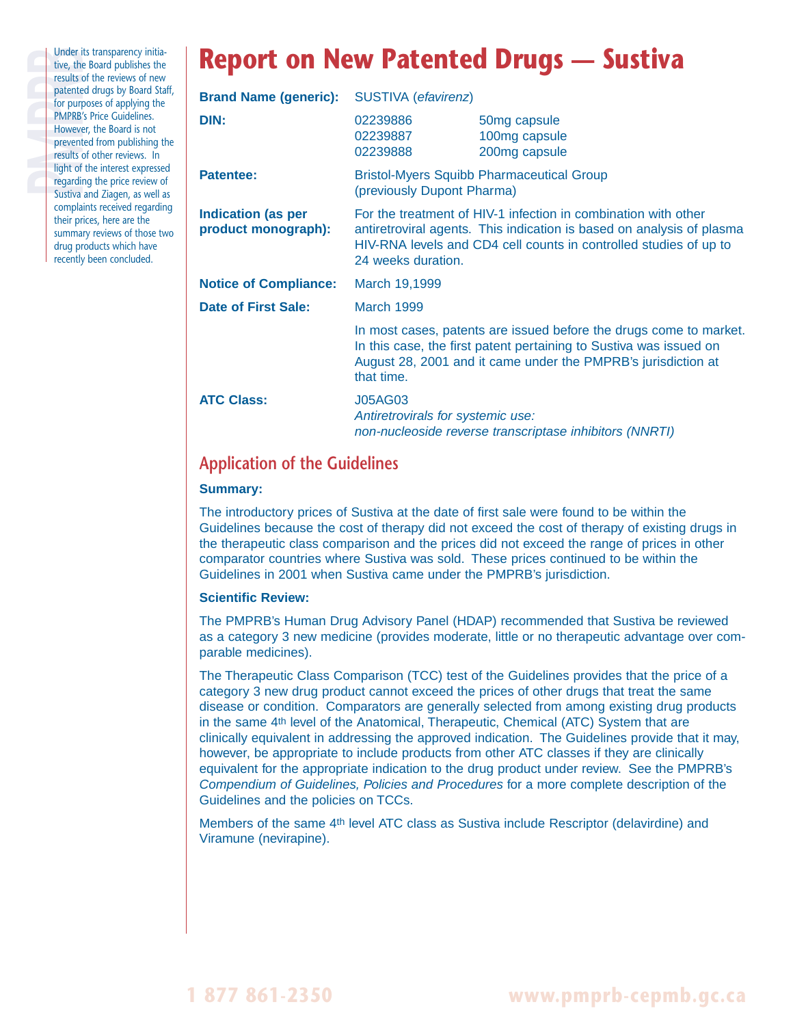Under its transparency initia-<br>tive, the Board publishes the<br>results of the reviews of new<br>patented drugs by Board Sta<br>for purposes of applying the<br>PMPRB's Price Guidelines.<br>However, the Board is not<br>prevented from publish tive, the Board publishes the results of the reviews of new patented drugs by Board Staff, for purposes of applying the **PMPRB's Price Guidelines.** However, the Board is not prevented from publishing the results of other reviews. In light of the interest expressed regarding the price review of Sustiva and Ziagen, as well as complaints received regarding their prices, here are the summary reviews of those two drug products which have recently been concluded.

# **Report on New Patented Drugs — Sustiva**

| <b>Brand Name (generic):</b>                     | <b>SUSTIVA</b> (efavirenz)                                                                                                                                                                                                         |                                                         |  |
|--------------------------------------------------|------------------------------------------------------------------------------------------------------------------------------------------------------------------------------------------------------------------------------------|---------------------------------------------------------|--|
| DIN:                                             | 02239886<br>02239887<br>02239888                                                                                                                                                                                                   | 50mg capsule<br>100mg capsule<br>200mg capsule          |  |
| <b>Patentee:</b>                                 | <b>Bristol-Myers Squibb Pharmaceutical Group</b><br>(previously Dupont Pharma)                                                                                                                                                     |                                                         |  |
| <b>Indication (as per</b><br>product monograph): | For the treatment of HIV-1 infection in combination with other<br>antiretroviral agents. This indication is based on analysis of plasma<br>HIV-RNA levels and CD4 cell counts in controlled studies of up to<br>24 weeks duration. |                                                         |  |
| <b>Notice of Compliance:</b>                     | March 19,1999                                                                                                                                                                                                                      |                                                         |  |
| Date of First Sale:                              | March 1999                                                                                                                                                                                                                         |                                                         |  |
|                                                  | In most cases, patents are issued before the drugs come to market.<br>In this case, the first patent pertaining to Sustiva was issued on<br>August 28, 2001 and it came under the PMPRB's jurisdiction at<br>that time.            |                                                         |  |
| <b>ATC Class:</b>                                | <b>J05AG03</b><br>Antiretrovirals for systemic use:                                                                                                                                                                                | non-nucleoside reverse transcriptase inhibitors (NNRTI) |  |

## **Application of the Guidelines**

### **Summary:**

The introductory prices of Sustiva at the date of first sale were found to be within the Guidelines because the cost of therapy did not exceed the cost of therapy of existing drugs in the therapeutic class comparison and the prices did not exceed the range of prices in other comparator countries where Sustiva was sold. These prices continued to be within the Guidelines in 2001 when Sustiva came under the PMPRB's jurisdiction.

#### **Scientific Review:**

The PMPRB's Human Drug Advisory Panel (HDAP) recommended that Sustiva be reviewed as a category 3 new medicine (provides moderate, little or no therapeutic advantage over comparable medicines).

The Therapeutic Class Comparison (TCC) test of the Guidelines provides that the price of a category 3 new drug product cannot exceed the prices of other drugs that treat the same disease or condition. Comparators are generally selected from among existing drug products in the same 4th level of the Anatomical, Therapeutic, Chemical (ATC) System that are clinically equivalent in addressing the approved indication. The Guidelines provide that it may, however, be appropriate to include products from other ATC classes if they are clinically equivalent for the appropriate indication to the drug product under review. See the PMPRB's Compendium of Guidelines, Policies and Procedures for a more complete description of the Guidelines and the policies on TCCs.

Members of the same 4th level ATC class as Sustiva include Rescriptor (delavirdine) and Viramune (nevirapine).